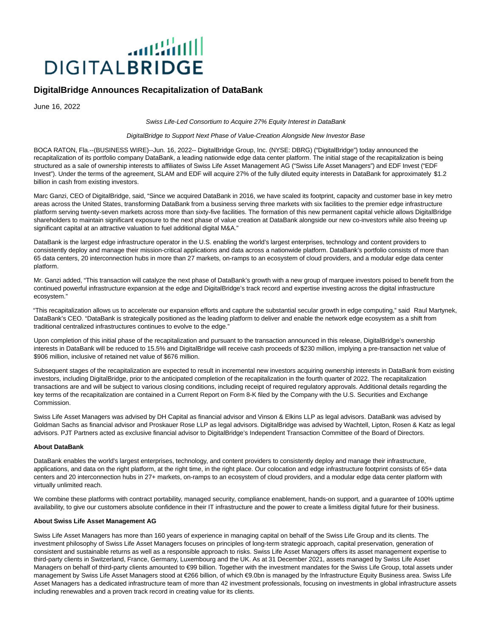# الاشتس **DIGITALBRIDGE**

## **DigitalBridge Announces Recapitalization of DataBank**

June 16, 2022

Swiss Life-Led Consortium to Acquire 27% Equity Interest in DataBank

#### DigitalBridge to Support Next Phase of Value-Creation Alongside New Investor Base

BOCA RATON, Fla.--(BUSINESS WIRE)--Jun. 16, 2022-- DigitalBridge Group, Inc. (NYSE: DBRG) ("DigitalBridge") today announced the recapitalization of its portfolio company DataBank, a leading nationwide edge data center platform. The initial stage of the recapitalization is being structured as a sale of ownership interests to affiliates of Swiss Life Asset Management AG ("Swiss Life Asset Managers") and EDF Invest ("EDF Invest"). Under the terms of the agreement, SLAM and EDF will acquire 27% of the fully diluted equity interests in DataBank for approximately \$1.2 billion in cash from existing investors.

Marc Ganzi, CEO of DigitalBridge, said, "Since we acquired DataBank in 2016, we have scaled its footprint, capacity and customer base in key metro areas across the United States, transforming DataBank from a business serving three markets with six facilities to the premier edge infrastructure platform serving twenty-seven markets across more than sixty-five facilities. The formation of this new permanent capital vehicle allows DigitalBridge shareholders to maintain significant exposure to the next phase of value creation at DataBank alongside our new co-investors while also freeing up significant capital at an attractive valuation to fuel additional digital M&A."

DataBank is the largest edge infrastructure operator in the U.S. enabling the world's largest enterprises, technology and content providers to consistently deploy and manage their mission-critical applications and data across a nationwide platform. DataBank's portfolio consists of more than 65 data centers, 20 interconnection hubs in more than 27 markets, on-ramps to an ecosystem of cloud providers, and a modular edge data center platform.

Mr. Ganzi added, "This transaction will catalyze the next phase of DataBank's growth with a new group of marquee investors poised to benefit from the continued powerful infrastructure expansion at the edge and DigitalBridge's track record and expertise investing across the digital infrastructure ecosystem."

"This recapitalization allows us to accelerate our expansion efforts and capture the substantial secular growth in edge computing," said Raul Martynek, DataBank's CEO. "DataBank is strategically positioned as the leading platform to deliver and enable the network edge ecosystem as a shift from traditional centralized infrastructures continues to evolve to the edge."

Upon completion of this initial phase of the recapitalization and pursuant to the transaction announced in this release, DigitalBridge's ownership interests in DataBank will be reduced to 15.5% and DigitalBridge will receive cash proceeds of \$230 million, implying a pre-transaction net value of \$906 million, inclusive of retained net value of \$676 million.

Subsequent stages of the recapitalization are expected to result in incremental new investors acquiring ownership interests in DataBank from existing investors, including DigitalBridge, prior to the anticipated completion of the recapitalization in the fourth quarter of 2022. The recapitalization transactions are and will be subject to various closing conditions, including receipt of required regulatory approvals. Additional details regarding the key terms of the recapitalization are contained in a Current Report on Form 8-K filed by the Company with the U.S. Securities and Exchange Commission.

Swiss Life Asset Managers was advised by DH Capital as financial advisor and Vinson & Elkins LLP as legal advisors. DataBank was advised by Goldman Sachs as financial advisor and Proskauer Rose LLP as legal advisors. DigitalBridge was advised by Wachtell, Lipton, Rosen & Katz as legal advisors. PJT Partners acted as exclusive financial advisor to DigitalBridge's Independent Transaction Committee of the Board of Directors.

### **About DataBank**

DataBank enables the world's largest enterprises, technology, and content providers to consistently deploy and manage their infrastructure, applications, and data on the right platform, at the right time, in the right place. Our colocation and edge infrastructure footprint consists of 65+ data centers and 20 interconnection hubs in 27+ markets, on-ramps to an ecosystem of cloud providers, and a modular edge data center platform with virtually unlimited reach.

We combine these platforms with contract portability, managed security, compliance enablement, hands-on support, and a guarantee of 100% uptime availability, to give our customers absolute confidence in their IT infrastructure and the power to create a limitless digital future for their business.

### **About Swiss Life Asset Management AG**

Swiss Life Asset Managers has more than 160 years of experience in managing capital on behalf of the Swiss Life Group and its clients. The investment philosophy of Swiss Life Asset Managers focuses on principles of long-term strategic approach, capital preservation, generation of consistent and sustainable returns as well as a responsible approach to risks. Swiss Life Asset Managers offers its asset management expertise to third-party clients in Switzerland, France, Germany, Luxembourg and the UK. As at 31 December 2021, assets managed by Swiss Life Asset Managers on behalf of third-party clients amounted to €99 billion. Together with the investment mandates for the Swiss Life Group, total assets under management by Swiss Life Asset Managers stood at €266 billion, of which €9.0bn is managed by the Infrastructure Equity Business area. Swiss Life Asset Managers has a dedicated infrastructure team of more than 42 investment professionals, focusing on investments in global infrastructure assets including renewables and a proven track record in creating value for its clients.